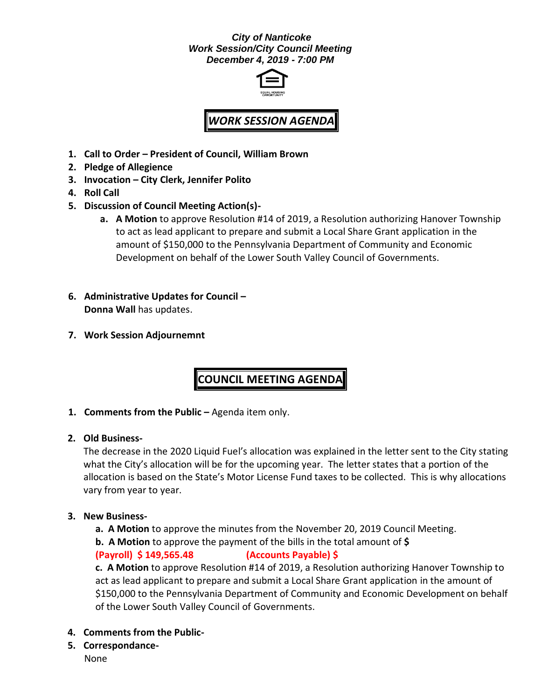### *City of Nanticoke Work Session/City Council Meeting December 4, 2019 - 7:00 PM*



# *WORK SESSION AGENDA*

- **1. Call to Order – President of Council, William Brown**
- **2. Pledge of Allegience**
- **3. Invocation – City Clerk, Jennifer Polito**
- **4. Roll Call**
- **5. Discussion of Council Meeting Action(s)**
	- **a. A Motion** to approve Resolution #14 of 2019, a Resolution authorizing Hanover Township to act as lead applicant to prepare and submit a Local Share Grant application in the amount of \$150,000 to the Pennsylvania Department of Community and Economic Development on behalf of the Lower South Valley Council of Governments.
- **6. Administrative Updates for Council – Donna Wall** has updates.
- **7. Work Session Adjournemnt**

## **COUNCIL MEETING AGENDA**

- **1. Comments from the Public –** Agenda item only.
- **2. Old Business-**

The decrease in the 2020 Liquid Fuel's allocation was explained in the letter sent to the City stating what the City's allocation will be for the upcoming year. The letter states that a portion of the allocation is based on the State's Motor License Fund taxes to be collected. This is why allocations vary from year to year.

- **3. New Business**
	- **a. A Motion** to approve the minutes from the November 20, 2019 Council Meeting.
	- **b. A Motion** to approve the payment of the bills in the total amount of **\$**

### **(Payroll) \$ 149,565.48 (Accounts Payable) \$**

**c. A Motion** to approve Resolution #14 of 2019, a Resolution authorizing Hanover Township to act as lead applicant to prepare and submit a Local Share Grant application in the amount of \$150,000 to the Pennsylvania Department of Community and Economic Development on behalf of the Lower South Valley Council of Governments.

- **4. Comments from the Public-**
- **5. Correspondance-**None